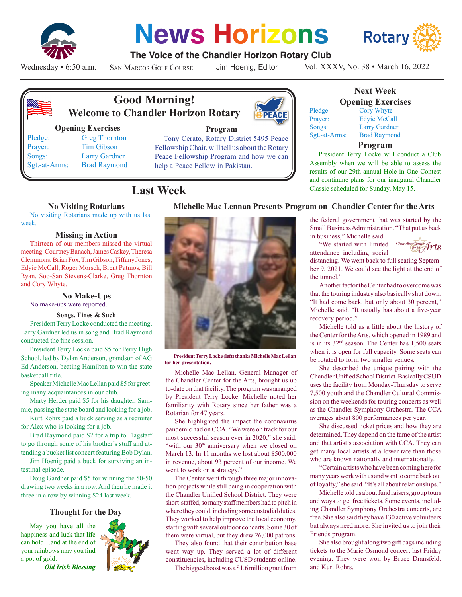

# **News Horizons**



## **The Voice of the Chandler Horizon Rotary Club**

Wednesday • 6:50 a.m.

San Marcos Golf Course

Jim Hoenig, Editor

Vol. XXXV, No. 38 • March 16, 2022



# **Good Morning! Welcome to Chandler Horizon Rotary**

#### **Opening Exercises**

Pledge: Greg Thornton Prayer: Tim Gibson Songs: Larry Gardner Sgt.-at-Arms: Brad Raymond



## **Program**

Tony Cerato, Rotary District 5495 Peace Fellowship Chair, will tell us about the Rotary Peace Fellowship Program and how we can help a Peace Fellow in Pakistan.

# **Last Week**

#### **No Visiting Rotarians**

No visiting Rotarians made up with us last week.

#### **Missing in Action**

Thirteen of our members missed the virtual meeting: Courtney Banach, James Caskey, Theresa Clemmons, Brian Fox, Tim Gibson, Tiffany Jones, Edyie McCall, Roger Morsch, Brent Patmos, Bill Ryan, Soo-San Stevens-Clarke, Greg Thornton and Cory Whyte.

#### **No Make-Ups**

No make-ups were reported.

#### **Songs, Fines & Such**

President Terry Locke conducted the meeting, Larry Gardner led us in song and Brad Raymond conducted the fine session.

President Terry Locke paid \$5 for Perry High School, led by Dylan Anderson, grandson of AG Ed Anderson, beating Hamilton to win the state basketball title.

Speaker Michelle Mac Lellan paid \$5 for greeting many acquaintances in our club.

Marty Herder paid \$5 for his daughter, Sammie, passing the state board and looking for a job.

Kurt Rohrs paid a buck serving as a recruiter for Alex who is looking for a job.

Brad Raymond paid \$2 for a trip to Flagstaff to go through some of his brother's stuff and attending a bucket list concert featuring Bob Dylan.

Jim Hoenig paid a buck for surviving an intestinal episode.

Doug Gardner paid \$5 for winning the 50-50 drawing two weeks in a row. And then he made it three in a row by winning \$24 last week.

### **Thought for the Day**

May you have all the happiness and luck that life can hold…and at the end of your rainbows may you find a pot of gold.

*Old Irish Blessing*





**President Terry Locke (left) thanks Michelle Mac Lellan for her presentation.**

Michelle Mac Lellan, General Manager of the Chandler Center for the Arts, brought us up to-date on that facility. The program was arranged by President Terry Locke. Michelle noted her familiarity with Rotary since her father was a Rotarian for 47 years.

She highlighted the impact the coronavirus pandemic had on CCA. "We were on track for our most successful season ever in 2020," she said, "with our 30<sup>th</sup> anniversary when we closed on March 13. In 11 months we lost about \$500,000 in revenue, about 93 percent of our income. We went to work on a strategy."

The Center went through three major innovation projects while still being in cooperation with the Chandler Unified School District. They were short-staffed, so many staff members had to pitch in where they could, including some custodial duties. They worked to help improve the local economy, starting with several outdoor concerts. Some 30 of them were virtual, but they drew 26,000 patrons.

They also found that their contribution base went way up. They served a lot of different constituencies, including CUSD students online. The biggest boost was a \$1.6 million grant from

## **Next Week Opening Exercises**

Pledge: Cory Whyte Prayer: Edyie McCall Songs: Larry Gardner Sgt.-at-Arms: Brad Raymond

**Michelle Mac Lennan Presents Program on Chandler Center for the Arts**

## **Program**

President Terry Locke will conduct a Club Assembly when we will be able to assess the results of our 29th annual Hole-in-One Contest and continune plans for our inaugural Chandler Classic scheduled for Sunday, May 15.

the federal government that was started by the Small Business Administration. "That put us back

in business," Michelle said. "We started with limited Chandler Center

 $\mathscr{A}$ rt $s$ 

attendance including social distancing. We went back to full seating September 9, 2021. We could see the light at the end of the tunnel."

Another factor the Center had to overcome was that the touring industry also basically shut down. "It had come back, but only about 30 percent," Michelle said. "It usually has about a five-year recovery period."

Michelle told us a little about the history of the Center for the Arts, which opened in 1989 and is in its 32nd season. The Center has 1,500 seats when it is open for full capacity. Some seats can be rotated to form two smaller venues.

She described the unique pairing with the Chandler Unified School District. Basically CSUD uses the facility from Monday-Thursday to serve 7,500 youth and the Chandler Cultural Commission on the weekends for touring concerts as well as the Chandler Symphony Orchestra. The CCA averages about 800 performances per year.

She discussed ticket prices and how they are determined. They depend on the fame of the artist and that artist's association with CCA. They can get many local artists at a lower rate than those who are known nationally and internationally.

"Certain artists who have been coming here for many years work with us and want to come back out of loyalty," she said. "It's all about relationships."

Michelle told us about fund raisers, group tours and ways to get free tickets. Some events, including Chandler Symphony Orchestra concerts, are free. She also said they have 130 active volunteers but always need more. She invited us to join their Friends program.

She also brought along two gift bags including tickets to the Marie Osmond concert last Friday evening. They were won by Bruce Dransfeldt and Kurt Rohrs.